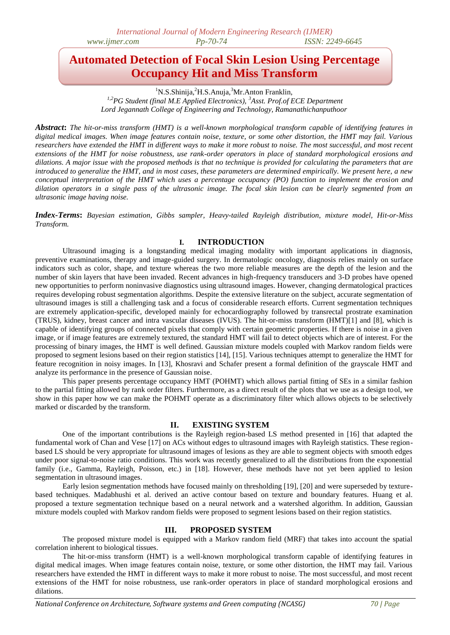# **Automated Detection of Focal Skin Lesion Using Percentage Occupancy Hit and Miss Transform**

<sup>1</sup>N.S.Shinija,<sup>2</sup>H.S.Anuja,<sup>3</sup>Mr.Anton Franklin, *1,2PG Student (final M.E Applied Electronics), <sup>3</sup>Asst. Prof.of ECE Department Lord Jegannath College of Engineering and Technology, Ramanathichanputhoor*

*Abstract***:** *The hit-or-miss transform (HMT) is a well-known morphological transform capable of identifying features in digital medical images. When image features contain noise, texture, or some other distortion, the HMT may fail. Various researchers have extended the HMT in different ways to make it more robust to noise. The most successful, and most recent extensions of the HMT for noise robustness, use rank-order operators in place of standard morphological erosions and dilations. A major issue with the proposed methods is that no technique is provided for calculating the parameters that are introduced to generalize the HMT, and in most cases, these parameters are determined empirically. We present here, a new conceptual interpretation of the HMT which uses a percentage occupancy (PO) function to implement the erosion and dilation operators in a single pass of the ultrasonic image. The focal skin lesion can be clearly segmented from an ultrasonic image having noise.*

*Index-Terms***:** *Bayesian estimation, Gibbs sampler, Heavy-tailed Rayleigh distribution, mixture model, Hit-or-Miss Transform.*

#### **I. INTRODUCTION**

Ultrasound imaging is a longstanding medical imaging modality with important applications in diagnosis, preventive examinations, therapy and image-guided surgery. In dermatologic oncology, diagnosis relies mainly on surface indicators such as color, shape, and texture whereas the two more reliable measures are the depth of the lesion and the number of skin layers that have been invaded. Recent advances in high-frequency transducers and 3-D probes have opened new opportunities to perform noninvasive diagnostics using ultrasound images. However, changing dermatological practices requires developing robust segmentation algorithms. Despite the extensive literature on the subject, accurate segmentation of ultrasound images is still a challenging task and a focus of considerable research efforts. Current segmentation techniques are extremely application-specific, developed mainly for echocardiography followed by transrectal prostrate examination (TRUS), kidney, breast cancer and intra vascular diseases (IVUS). The hit-or-miss transform (HMT)[1] and [8], which is capable of identifying groups of connected pixels that comply with certain geometric properties. If there is noise in a given image, or if image features are extremely textured, the standard HMT will fail to detect objects which are of interest. For the processing of binary images, the HMT is well defined. Gaussian mixture models coupled with Markov random fields were proposed to segment lesions based on their region statistics [14], [15]. Various techniques attempt to generalize the HMT for feature recognition in noisy images. In [13], Khosravi and Schafer present a formal definition of the grayscale HMT and analyze its performance in the presence of Gaussian noise.

This paper presents percentage occupancy HMT (POHMT) which allows partial fitting of SEs in a similar fashion to the partial fitting allowed by rank order filters. Furthermore, as a direct result of the plots that we use as a design tool, we show in this paper how we can make the POHMT operate as a discriminatory filter which allows objects to be selectively marked or discarded by the transform.

#### **II. EXISTING SYSTEM**

One of the important contributions is the Rayleigh region-based LS method presented in [16] that adapted the fundamental work of Chan and Vese [17] on ACs without edges to ultrasound images with Rayleigh statistics. These regionbased LS should be very appropriate for ultrasound images of lesions as they are able to segment objects with smooth edges under poor signal-to-noise ratio conditions. This work was recently generalized to all the distributions from the exponential family (i.e., Gamma, Rayleigh, Poisson, etc.) in [18]. However, these methods have not yet been applied to lesion segmentation in ultrasound images.

Early lesion segmentation methods have focused mainly on thresholding [19], [20] and were superseded by texturebased techniques. Madabhushi et al. derived an active contour based on texture and boundary features. Huang et al. proposed a texture segmentation technique based on a neural network and a watershed algorithm. In addition, Gaussian mixture models coupled with Markov random fields were proposed to segment lesions based on their region statistics.

#### **III. PROPOSED SYSTEM**

The proposed mixture model is equipped with a Markov random field (MRF) that takes into account the spatial correlation inherent to biological tissues.

The hit-or-miss transform (HMT) is a well-known morphological transform capable of identifying features in digital medical images. When image features contain noise, texture, or some other distortion, the HMT may fail. Various researchers have extended the HMT in different ways to make it more robust to noise. The most successful, and most recent extensions of the HMT for noise robustness, use rank-order operators in place of standard morphological erosions and dilations.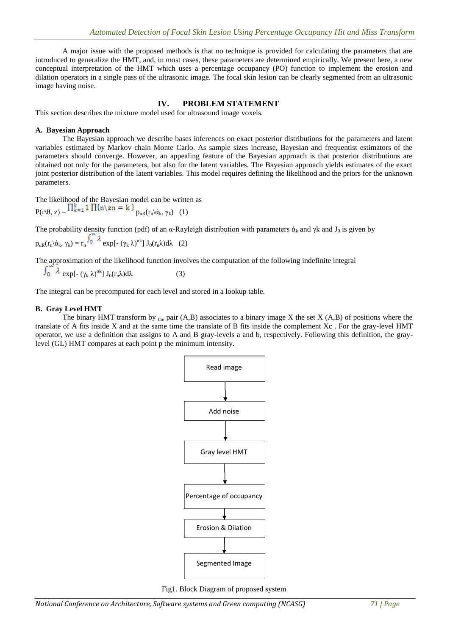A major issue with the proposed methods is that no technique is provided for calculating the parameters that are introduced to generalize the HMT, and, in most cases, these parameters are determined empirically. We present here, a new conceptual interpretation of the HMT which uses a percentage occupancy (PO) function to implement the erosion and dilation operators in a single pass of the ultrasonic image. The focal skin lesion can be clearly segmented from an ultrasonic image having noise.

## **IV. PROBLEM STATEMENT**

This section describes the mixture model used for ultrasound image voxels.

#### **A. Bayesian Approach**

The Bayesian approach we describe bases inferences on exact posterior distributions for the parameters and latent variables estimated by Markov chain Monte Carlo. As sample sizes increase, Bayesian and frequentist estimators of the parameters should converge. However, an appealing feature of the Bayesian approach is that posterior distributions are obtained not only for the parameters, but also for the latent variables. The Bayesian approach yields estimates of the exact joint posterior distribution of the latent variables. This model requires defining the likelihood and the priors for the unknown parameters.

The likelihood of the Bayesian model can be written as P(r\ $\theta$ , z) =  $\prod_{k=1}^{k} \prod_{n \geq n} \prod_{n \geq n} = k$   $p_{nR}(r_n|\alpha_k, \gamma_k)$  (1)

The probability density function (pdf) of an  $\alpha$ -Rayleigh distribution with parameters  $\alpha_k$  and  $\gamma_k$  and  $J_0$  is given by

 $p_{nR}(r_n)\dot{a}_k$ ,  $\gamma_k$ ) =  $r_n \int_0^{\infty} \lambda \exp[-(\gamma_k \lambda)^{\alpha k}] J_0(r_n\lambda) d\lambda$  (2)

The approximation of the likelihood function involves the computation of the following indefinite integral

 $\int_0^{\infty} \lambda \exp[-(\gamma_k \lambda)^{\alpha k}] J_0(r_n \lambda) d\lambda$  (3)

The integral can be precomputed for each level and stored in a lookup table.

## **B. Gray Level HMT**

The binary HMT transform by  $_{\text{the}}$  pair (A,B) associates to a binary image X the set X (A,B) of positions where the translate of A fits inside X and at the same time the translate of B fits inside the complement Xc . For the gray-level HMT operator, we use a definition that assigns to A and B gray-levels a and b, respectively. Following this definition, the graylevel (GL) HMT compares at each point p the minimum intensity.



Fig1. Block Diagram of proposed system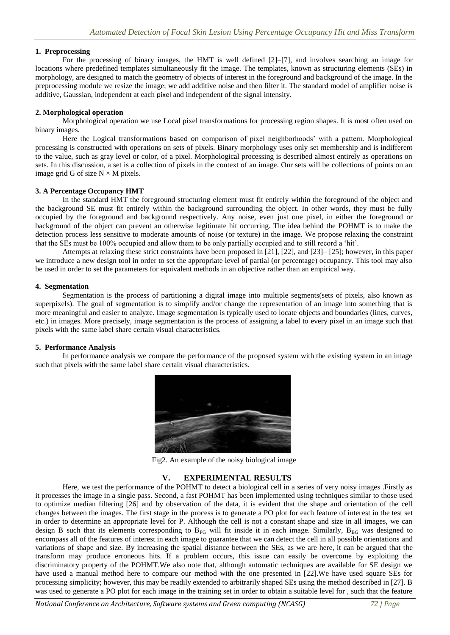## **1. Preprocessing**

For the processing of binary images, the HMT is well defined [2]–[7], and involves searching an image for locations where predefined templates simultaneously fit the image. The templates, known as structuring elements (SEs) in morphology, are designed to match the geometry of objects of interest in the foreground and background of the image. In the preprocessing module we resize the image; we add additive noise and then filter it. The standard model of amplifier noise is additive, Gaussian, independent at each pixel and independent of the signal intensity.

## **2. Morphological operation**

Morphological operation we use Local pixel transformations for processing region shapes. It is most often used on binary images.

Here the Logical transformations based on comparison of pixel neighborhoods" with a pattern. Morphological processing is constructed with operations on sets of pixels. Binary morphology uses only set membership and is indifferent to the value, such as gray level or color, of a pixel. Morphological processing is described almost entirely as operations on sets. In this discussion, a set is a collection of pixels in the context of an image. Our sets will be collections of points on an image grid G of size  $N \times M$  pixels.

#### **3. A Percentage Occupancy HMT**

In the standard HMT the foreground structuring element must fit entirely within the foreground of the object and the background SE must fit entirely within the background surrounding the object. In other words, they must be fully occupied by the foreground and background respectively. Any noise, even just one pixel, in either the foreground or background of the object can prevent an otherwise legitimate hit occurring. The idea behind the POHMT is to make the detection process less sensitive to moderate amounts of noise (or texture) in the image. We propose relaxing the constraint that the SEs must be 100% occupied and allow them to be only partially occupied and to still record a "hit".

Attempts at relaxing these strict constraints have been proposed in [21], [22], and [23]– [25]; however, in this paper we introduce a new design tool in order to set the appropriate level of partial (or percentage) occupancy. This tool may also be used in order to set the parameters for equivalent methods in an objective rather than an empirical way.

#### **4. Segmentation**

Segmentation is the process of partitioning a digital image into multiple segments(sets of pixels, also known as superpixels). The goal of segmentation is to simplify and/or change the representation of an image into something that is more meaningful and easier to analyze. Image segmentation is typically used to locate objects and boundaries (lines, curves, etc.) in images. More precisely, image segmentation is the process of assigning a label to every pixel in an image such that pixels with the same label share certain visual characteristics.

#### **5. Performance Analysis**

In performance analysis we compare the performance of the proposed system with the existing system in an image such that pixels with the same label share certain visual characteristics.



Fig2. An example of the noisy biological image

## **V. EXPERIMENTAL RESULTS**

Here, we test the performance of the POHMT to detect a biological cell in a series of very noisy images .Firstly as it processes the image in a single pass. Second, a fast POHMT has been implemented using techniques similar to those used to optimize median filtering [26] and by observation of the data, it is evident that the shape and orientation of the cell changes between the images. The first stage in the process is to generate a PO plot for each feature of interest in the test set in order to determine an appropriate level for P. Although the cell is not a constant shape and size in all images, we can design B such that its elements corresponding to  $B_{FG}$  will fit inside it in each image. Similarly,  $B_{BG}$  was designed to encompass all of the features of interest in each image to guarantee that we can detect the cell in all possible orientations and variations of shape and size. By increasing the spatial distance between the SEs, as we are here, it can be argued that the transform may produce erroneous hits. If a problem occurs, this issue can easily be overcome by exploiting the discriminatory property of the POHMT.We also note that, although automatic techniques are available for SE design we have used a manual method here to compare our method with the one presented in [22].We have used square SEs for processing simplicity; however, this may be readily extended to arbitrarily shaped SEs using the method described in [27]. B was used to generate a PO plot for each image in the training set in order to obtain a suitable level for , such that the feature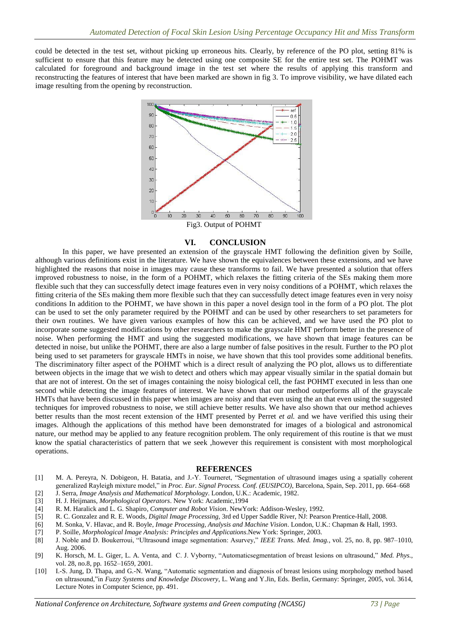could be detected in the test set, without picking up erroneous hits. Clearly, by reference of the PO plot, setting 81% is sufficient to ensure that this feature may be detected using one composite SE for the entire test set. The POHMT was calculated for foreground and background image in the test set where the results of applying this transform and reconstructing the features of interest that have been marked are shown in fig 3. To improve visibility, we have dilated each image resulting from the opening by reconstruction.



#### **VI. CONCLUSION**

In this paper, we have presented an extension of the grayscale HMT following the definition given by Soille, although various definitions exist in the literature. We have shown the equivalences between these extensions, and we have highlighted the reasons that noise in images may cause these transforms to fail. We have presented a solution that offers improved robustness to noise, in the form of a POHMT, which relaxes the fitting criteria of the SEs making them more flexible such that they can successfully detect image features even in very noisy conditions of a POHMT, which relaxes the fitting criteria of the SEs making them more flexible such that they can successfully detect image features even in very noisy conditions In addition to the POHMT, we have shown in this paper a novel design tool in the form of a PO plot. The plot can be used to set the only parameter required by the POHMT and can be used by other researchers to set parameters for their own routines. We have given various examples of how this can be achieved, and we have used the PO plot to incorporate some suggested modifications by other researchers to make the grayscale HMT perform better in the presence of noise. When performing the HMT and using the suggested modifications, we have shown that image features can be detected in noise, but unlike the POHMT, there are also a large number of false positives in the result. Further to the PO plot being used to set parameters for grayscale HMTs in noise, we have shown that this tool provides some additional benefits. The discriminatory filter aspect of the POHMT which is a direct result of analyzing the PO plot, allows us to differentiate between objects in the image that we wish to detect and others which may appear visually similar in the spatial domain but that are not of interest. On the set of images containing the noisy biological cell, the fast POHMT executed in less than one second while detecting the image features of interest. We have shown that our method outperforms all of the grayscale HMTs that have been discussed in this paper when images are noisy and that even using the an that even using the suggested techniques for improved robustness to noise, we still achieve better results. We have also shown that our method achieves better results than the most recent extension of the HMT presented by Perret *et al.* and we have verified this using their images. Although the applications of this method have been demonstrated for images of a biological and astronomical nature, our method may be applied to any feature recognition problem. The only requirement of this routine is that we must know the spatial characteristics of pattern that we seek ,however this requirement is consistent with most morphological operations.

#### **REFERENCES**

- [1] M. A. Pereyra, N. Dobigeon, H. Batatia, and J.-Y. Tourneret, "Segmentation of ultrasound images using a spatially coherent generalized Rayleigh mixture model," in *Proc. Eur. Signal Process. Conf. (EUSIPCO)*, Barcelona, Spain, Sep. 2011, pp. 664–668
- [2] J. Serra*, Image Analysis and Mathematical Morphology*. London, U.K.: Academic, 1982.
- [3] H. J. Heijmans*, Morphological Operators*. New York: Academic,1994
- [4] R. M. Haralick and L. G. Shapiro*, Computer and Robot Vision*. NewYork: Addison-Wesley, 1992.
- [5] R. C. Gonzalez and R. E. Woods*, Digital Image Processing*, 3rd ed Upper Saddle River, NJ: Pearson Prentice-Hall, 2008.
- [6] M. Sonka, V. Hlavac, and R. Boyle*, Image Processing, Analysis and Machine Vision*. London, U.K.: Chapman & Hall, 1993.
- [7] P. Soille*, Morphological Image Analysis: Principles and Applications*.New York: Springer, 2003.
- [8] J. Noble and D. Boukerroui, "Ultrasound image segmentation: Asurvey," *IEEE Trans. Med. Imag.*, vol. 25, no. 8, pp. 987–1010, Aug. 2006.
- [9] K. Horsch, M. L. Giger, L. A. Venta, and C. J. Vyborny, "Automaticsegmentation of breast lesions on ultrasound," *Med. Phys.*, vol. 28, no.8, pp. 1652–1659, 2001.
- [10] I.-S. Jung, D. Thapa, and G.-N. Wang, "Automatic segmentation and diagnosis of breast lesions using morphology method based on ultrasound,"in *Fuzzy Systems and Knowledge Discovery*, L. Wang and Y.Jin, Eds. Berlin, Germany: Springer, 2005, vol. 3614, Lecture Notes in Computer Science, pp. 491.